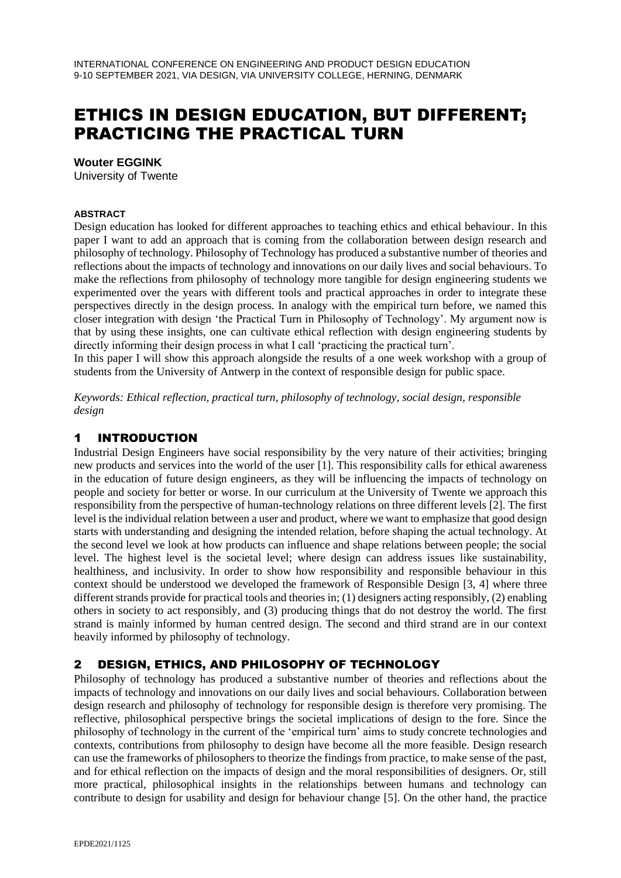# ETHICS IN DESIGN EDUCATION, BUT DIFFERENT; PRACTICING THE PRACTICAL TURN

#### **Wouter EGGINK**

University of Twente

#### **ABSTRACT**

Design education has looked for different approaches to teaching ethics and ethical behaviour. In this paper I want to add an approach that is coming from the collaboration between design research and philosophy of technology. Philosophy of Technology has produced a substantive number of theories and reflections about the impacts of technology and innovations on our daily lives and social behaviours. To make the reflections from philosophy of technology more tangible for design engineering students we experimented over the years with different tools and practical approaches in order to integrate these perspectives directly in the design process. In analogy with the empirical turn before, we named this closer integration with design 'the Practical Turn in Philosophy of Technology'. My argument now is that by using these insights, one can cultivate ethical reflection with design engineering students by directly informing their design process in what I call 'practicing the practical turn'.

In this paper I will show this approach alongside the results of a one week workshop with a group of students from the University of Antwerp in the context of responsible design for public space.

*Keywords: Ethical reflection, practical turn, philosophy of technology, social design, responsible design*

## 1 INTRODUCTION

Industrial Design Engineers have social responsibility by the very nature of their activities; bringing new products and services into the world of the user [1]. This responsibility calls for ethical awareness in the education of future design engineers, as they will be influencing the impacts of technology on people and society for better or worse. In our curriculum at the University of Twente we approach this responsibility from the perspective of human-technology relations on three different levels [2]. The first level is the individual relation between a user and product, where we want to emphasize that good design starts with understanding and designing the intended relation, before shaping the actual technology. At the second level we look at how products can influence and shape relations between people; the social level. The highest level is the societal level; where design can address issues like sustainability, healthiness, and inclusivity. In order to show how responsibility and responsible behaviour in this context should be understood we developed the framework of Responsible Design [3, 4] where three different strands provide for practical tools and theories in; (1) designers acting responsibly, (2) enabling others in society to act responsibly, and (3) producing things that do not destroy the world. The first strand is mainly informed by human centred design. The second and third strand are in our context heavily informed by philosophy of technology.

# 2 DESIGN, ETHICS, AND PHILOSOPHY OF TECHNOLOGY

Philosophy of technology has produced a substantive number of theories and reflections about the impacts of technology and innovations on our daily lives and social behaviours. Collaboration between design research and philosophy of technology for responsible design is therefore very promising. The reflective, philosophical perspective brings the societal implications of design to the fore. Since the philosophy of technology in the current of the 'empirical turn' aims to study concrete technologies and contexts, contributions from philosophy to design have become all the more feasible. Design research can use the frameworks of philosophers to theorize the findings from practice, to make sense of the past, and for ethical reflection on the impacts of design and the moral responsibilities of designers. Or, still more practical, philosophical insights in the relationships between humans and technology can contribute to design for usability and design for behaviour change [5]. On the other hand, the practice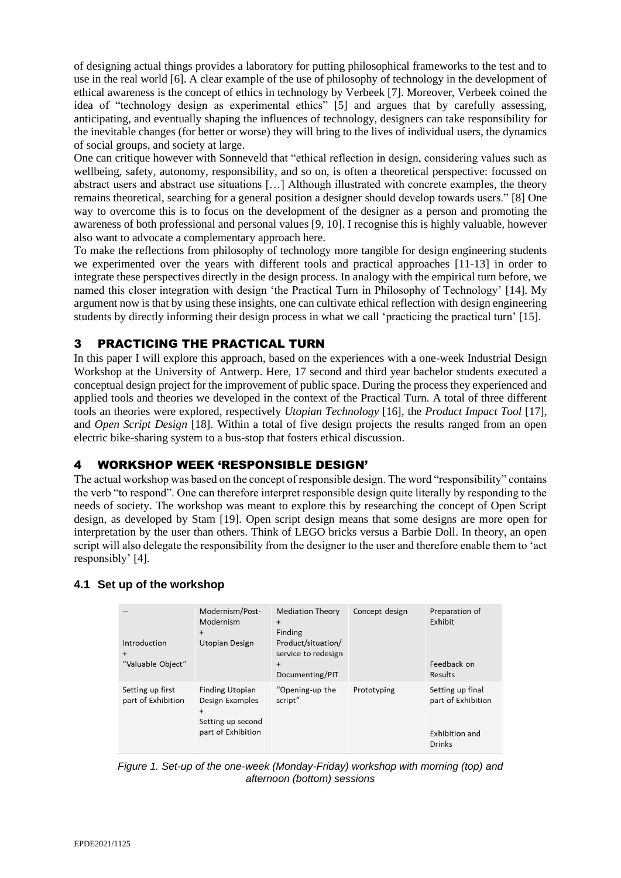of designing actual things provides a laboratory for putting philosophical frameworks to the test and to use in the real world [6]. A clear example of the use of philosophy of technology in the development of ethical awareness is the concept of ethics in technology by Verbeek [7]. Moreover, Verbeek coined the idea of "technology design as experimental ethics" [5] and argues that by carefully assessing, anticipating, and eventually shaping the influences of technology, designers can take responsibility for the inevitable changes (for better or worse) they will bring to the lives of individual users, the dynamics of social groups, and society at large.

One can critique however with Sonneveld that "ethical reflection in design, considering values such as wellbeing, safety, autonomy, responsibility, and so on, is often a theoretical perspective: focussed on abstract users and abstract use situations […] Although illustrated with concrete examples, the theory remains theoretical, searching for a general position a designer should develop towards users." [8] One way to overcome this is to focus on the development of the designer as a person and promoting the awareness of both professional and personal values [9, 10]. I recognise this is highly valuable, however also want to advocate a complementary approach here.

To make the reflections from philosophy of technology more tangible for design engineering students we experimented over the years with different tools and practical approaches [11-13] in order to integrate these perspectives directly in the design process. In analogy with the empirical turn before, we named this closer integration with design 'the Practical Turn in Philosophy of Technology' [14]. My argument now is that by using these insights, one can cultivate ethical reflection with design engineering students by directly informing their design process in what we call 'practicing the practical turn' [15].

# 3 PRACTICING THE PRACTICAL TURN

In this paper I will explore this approach, based on the experiences with a one-week Industrial Design Workshop at the University of Antwerp. Here, 17 second and third year bachelor students executed a conceptual design project for the improvement of public space. During the process they experienced and applied tools and theories we developed in the context of the Practical Turn. A total of three different tools an theories were explored, respectively *Utopian Technology* [16], the *Product Impact Tool* [17], and *Open Script Design* [18]. Within a total of five design projects the results ranged from an open electric bike-sharing system to a bus-stop that fosters ethical discussion.

#### 4 WORKSHOP WEEK 'RESPONSIBLE DESIGN'

The actual workshop was based on the concept of responsible design. The word "responsibility" contains the verb "to respond". One can therefore interpret responsible design quite literally by responding to the needs of society. The workshop was meant to explore this by researching the concept of Open Script design, as developed by Stam [19]. Open script design means that some designs are more open for interpretation by the user than others. Think of LEGO bricks versus a Barbie Doll. In theory, an open script will also delegate the responsibility from the designer to the user and therefore enable them to 'act responsibly' [4].

#### **4.1 Set up of the workshop**

| Introduction<br>$^{+}$<br>"Valuable Object" | Modernism/Post-<br>Modernism<br>$^{+}$<br>Utopian Design                                          | <b>Mediation Theory</b><br>$\ddot{}$<br>Finding<br>Product/situation/<br>service to redesign<br>$\ddot{}$<br>Documenting/PIT | Concept design | Preparation of<br>Exhibit<br>Feedback on<br>Results                |
|---------------------------------------------|---------------------------------------------------------------------------------------------------|------------------------------------------------------------------------------------------------------------------------------|----------------|--------------------------------------------------------------------|
| Setting up first<br>part of Exhibition      | <b>Finding Utopian</b><br>Design Examples<br>$\ddot{}$<br>Setting up second<br>part of Exhibition | "Opening-up the<br>script"                                                                                                   | Prototyping    | Setting up final<br>part of Exhibition<br>Exhibition and<br>Drinks |

*Figure 1. Set-up of the one-week (Monday-Friday) workshop with morning (top) and afternoon (bottom) sessions*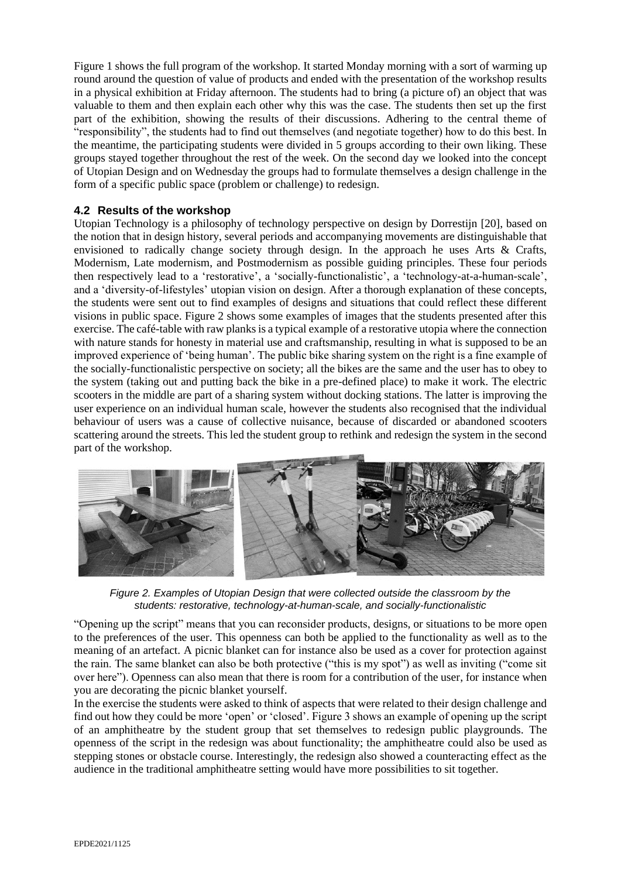Figure 1 shows the full program of the workshop. It started Monday morning with a sort of warming up round around the question of value of products and ended with the presentation of the workshop results in a physical exhibition at Friday afternoon. The students had to bring (a picture of) an object that was valuable to them and then explain each other why this was the case. The students then set up the first part of the exhibition, showing the results of their discussions. Adhering to the central theme of "responsibility", the students had to find out themselves (and negotiate together) how to do this best. In the meantime, the participating students were divided in 5 groups according to their own liking. These groups stayed together throughout the rest of the week. On the second day we looked into the concept of Utopian Design and on Wednesday the groups had to formulate themselves a design challenge in the form of a specific public space (problem or challenge) to redesign.

## **4.2 Results of the workshop**

Utopian Technology is a philosophy of technology perspective on design by Dorrestijn [20], based on the notion that in design history, several periods and accompanying movements are distinguishable that envisioned to radically change society through design. In the approach he uses Arts & Crafts, Modernism, Late modernism, and Postmodernism as possible guiding principles. These four periods then respectively lead to a 'restorative', a 'socially-functionalistic', a 'technology-at-a-human-scale', and a 'diversity-of-lifestyles' utopian vision on design. After a thorough explanation of these concepts, the students were sent out to find examples of designs and situations that could reflect these different visions in public space. Figure 2 shows some examples of images that the students presented after this exercise. The café-table with raw planks is a typical example of a restorative utopia where the connection with nature stands for honesty in material use and craftsmanship, resulting in what is supposed to be an improved experience of 'being human'. The public bike sharing system on the right is a fine example of the socially-functionalistic perspective on society; all the bikes are the same and the user has to obey to the system (taking out and putting back the bike in a pre-defined place) to make it work. The electric scooters in the middle are part of a sharing system without docking stations. The latter is improving the user experience on an individual human scale, however the students also recognised that the individual behaviour of users was a cause of collective nuisance, because of discarded or abandoned scooters scattering around the streets. This led the student group to rethink and redesign the system in the second part of the workshop.



*Figure 2. Examples of Utopian Design that were collected outside the classroom by the students: restorative, technology-at-human-scale, and socially-functionalistic*

"Opening up the script" means that you can reconsider products, designs, or situations to be more open to the preferences of the user. This openness can both be applied to the functionality as well as to the meaning of an artefact. A picnic blanket can for instance also be used as a cover for protection against the rain. The same blanket can also be both protective ("this is my spot") as well as inviting ("come sit over here"). Openness can also mean that there is room for a contribution of the user, for instance when you are decorating the picnic blanket yourself.

In the exercise the students were asked to think of aspects that were related to their design challenge and find out how they could be more 'open' or 'closed'. Figure 3 shows an example of opening up the script of an amphitheatre by the student group that set themselves to redesign public playgrounds. The openness of the script in the redesign was about functionality; the amphitheatre could also be used as stepping stones or obstacle course. Interestingly, the redesign also showed a counteracting effect as the audience in the traditional amphitheatre setting would have more possibilities to sit together.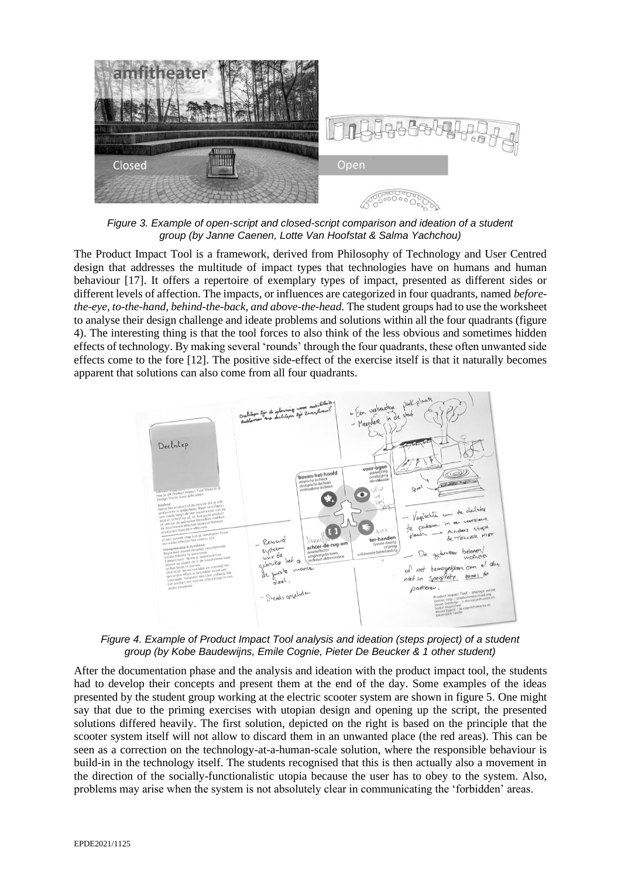

*Figure 3. Example of open-script and closed-script comparison and ideation of a student group (by Janne Caenen, Lotte Van Hoofstat & Salma Yachchou)*

The Product Impact Tool is a framework, derived from Philosophy of Technology and User Centred design that addresses the multitude of impact types that technologies have on humans and human behaviour [17]. It offers a repertoire of exemplary types of impact, presented as different sides or different levels of affection. The impacts, or influences are categorized in four quadrants, named *beforethe-eye, to-the-hand, behind-the-back, and above-the-head.* The student groups had to use the worksheet to analyse their design challenge and ideate problems and solutions within all the four quadrants (figure 4). The interesting thing is that the tool forces to also think of the less obvious and sometimes hidden effects of technology. By making several 'rounds' through the four quadrants, these often unwanted side effects come to the fore [12]. The positive side-effect of the exercise itself is that it naturally becomes apparent that solutions can also come from all four quadrants.



*Figure 4. Example of Product Impact Tool analysis and ideation (steps project) of a student group (by Kobe Baudewijns, Emile Cognie, Pieter De Beucker & 1 other student)*

After the documentation phase and the analysis and ideation with the product impact tool, the students had to develop their concepts and present them at the end of the day. Some examples of the ideas presented by the student group working at the electric scooter system are shown in figure 5. One might say that due to the priming exercises with utopian design and opening up the script, the presented solutions differed heavily. The first solution, depicted on the right is based on the principle that the scooter system itself will not allow to discard them in an unwanted place (the red areas). This can be seen as a correction on the technology-at-a-human-scale solution, where the responsible behaviour is build-in in the technology itself. The students recognised that this is then actually also a movement in the direction of the socially-functionalistic utopia because the user has to obey to the system. Also, problems may arise when the system is not absolutely clear in communicating the 'forbidden' areas.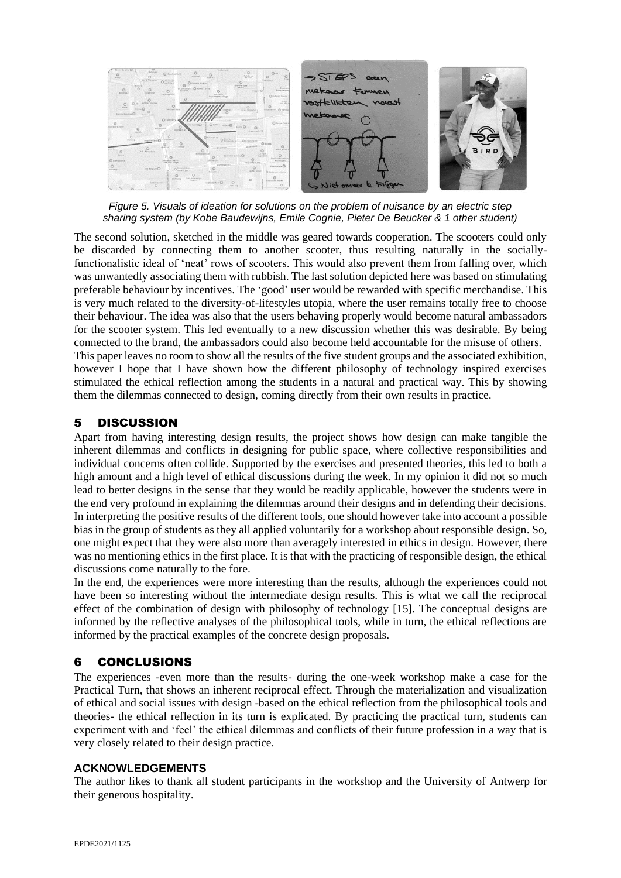

*Figure 5. Visuals of ideation for solutions on the problem of nuisance by an electric step sharing system (by Kobe Baudewijns, Emile Cognie, Pieter De Beucker & 1 other student)*

The second solution, sketched in the middle was geared towards cooperation. The scooters could only be discarded by connecting them to another scooter, thus resulting naturally in the sociallyfunctionalistic ideal of 'neat' rows of scooters. This would also prevent them from falling over, which was unwantedly associating them with rubbish. The last solution depicted here was based on stimulating preferable behaviour by incentives. The 'good' user would be rewarded with specific merchandise. This is very much related to the diversity-of-lifestyles utopia, where the user remains totally free to choose their behaviour. The idea was also that the users behaving properly would become natural ambassadors for the scooter system. This led eventually to a new discussion whether this was desirable. By being connected to the brand, the ambassadors could also become held accountable for the misuse of others. This paper leaves no room to show all the results of the five student groups and the associated exhibition, however I hope that I have shown how the different philosophy of technology inspired exercises stimulated the ethical reflection among the students in a natural and practical way. This by showing them the dilemmas connected to design, coming directly from their own results in practice.

## 5 DISCUSSION

Apart from having interesting design results, the project shows how design can make tangible the inherent dilemmas and conflicts in designing for public space, where collective responsibilities and individual concerns often collide. Supported by the exercises and presented theories, this led to both a high amount and a high level of ethical discussions during the week. In my opinion it did not so much lead to better designs in the sense that they would be readily applicable, however the students were in the end very profound in explaining the dilemmas around their designs and in defending their decisions. In interpreting the positive results of the different tools, one should however take into account a possible bias in the group of students as they all applied voluntarily for a workshop about responsible design. So, one might expect that they were also more than averagely interested in ethics in design. However, there was no mentioning ethics in the first place. It is that with the practicing of responsible design, the ethical discussions come naturally to the fore.

In the end, the experiences were more interesting than the results, although the experiences could not have been so interesting without the intermediate design results. This is what we call the reciprocal effect of the combination of design with philosophy of technology [15]. The conceptual designs are informed by the reflective analyses of the philosophical tools, while in turn, the ethical reflections are informed by the practical examples of the concrete design proposals.

#### 6 CONCLUSIONS

The experiences -even more than the results- during the one-week workshop make a case for the Practical Turn, that shows an inherent reciprocal effect. Through the materialization and visualization of ethical and social issues with design -based on the ethical reflection from the philosophical tools and theories- the ethical reflection in its turn is explicated. By practicing the practical turn, students can experiment with and 'feel' the ethical dilemmas and conflicts of their future profession in a way that is very closely related to their design practice.

#### **ACKNOWLEDGEMENTS**

The author likes to thank all student participants in the workshop and the University of Antwerp for their generous hospitality.